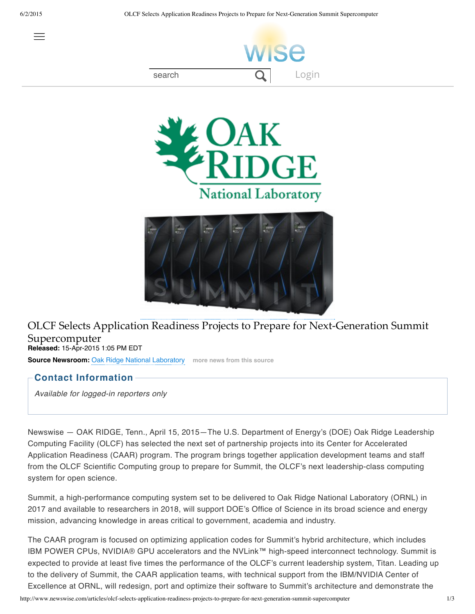





## OLCF Selects Application Readiness Projects to Prepare for Next-Generation Summit Supercomputer **Released:** 15-Apr-2015 1:05 PM EDT

**Source Newsroom:** Oak Ridge National Laboratory **more news from this source**

## **Contact Information**

*Available for logged-in reporters only*

Newswise — OAK RIDGE, Tenn., April 15, 2015—The U.S. Department of Energy's (DOE) Oak Ridge Leadership Computing Facility (OLCF) has selected the next set of partnership projects into its Center for Accelerated Application Readiness (CAAR) program. The program brings together application development teams and staff from the OLCF Scientific Computing group to prepare for Summit, the OLCF's next leadership-class computing system for open science.

Summit, a high-performance computing system set to be delivered to Oak Ridge National Laboratory (ORNL) in 2017 and available to researchers in 2018, will support DOE's Office of Science in its broad science and energy mission, advancing knowledge in areas critical to government, academia and industry.

The CAAR program is focused on optimizing application codes for Summit's hybrid architecture, which includes IBM POWER CPUs, NVIDIA® GPU accelerators and the NVLink™ high-speed interconnect technology. Summit is expected to provide at least five times the performance of the OLCF's current leadership system, Titan. Leading up to the delivery of Summit, the CAAR application teams, with technical support from the IBM/NVIDIA Center of Excellence at ORNL, will redesign, port and optimize their software to Summit's architecture and demonstrate the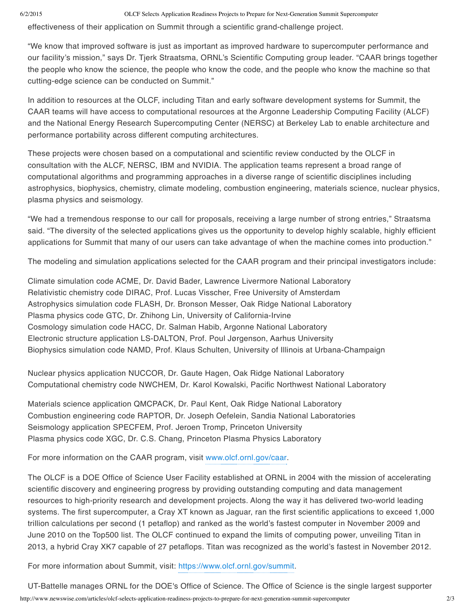## 6/2/2015 OLCF Selects Application Readiness Projects to Prepare for Next-Generation Summit Supercomputer

effectiveness of their application on Summit through a scientific grand-challenge project.

"We know that improved software is just as important as improved hardware to supercomputer performance and our facility's mission," says Dr. Tjerk Straatsma, ORNL's Scientific Computing group leader. "CAAR brings together the people who know the science, the people who know the code, and the people who know the machine so that cutting-edge science can be conducted on Summit."

In addition to resources at the OLCF, including Titan and early software development systems for Summit, the CAAR teams will have access to computational resources at the Argonne Leadership Computing Facility (ALCF) and the National Energy Research Supercomputing Center (NERSC) at Berkeley Lab to enable architecture and performance portability across different computing architectures.

These projects were chosen based on a computational and scientific review conducted by the OLCF in consultation with the ALCF, NERSC, IBM and NVIDIA. The application teams represent a broad range of computational algorithms and programming approaches in a diverse range of scientific disciplines including astrophysics, biophysics, chemistry, climate modeling, combustion engineering, materials science, nuclear physics, plasma physics and seismology.

"We had a tremendous response to our call for proposals, receiving a large number of strong entries," Straatsma said. "The diversity of the selected applications gives us the opportunity to develop highly scalable, highly efficient applications for Summit that many of our users can take advantage of when the machine comes into production."

The modeling and simulation applications selected for the CAAR program and their principal investigators include:

Climate simulation code ACME, Dr. David Bader, Lawrence Livermore National Laboratory Relativistic chemistry code DIRAC, Prof. Lucas Visscher, Free University of Amsterdam Astrophysics simulation code FLASH, Dr. Bronson Messer, Oak Ridge National Laboratory Plasma physics code GTC, Dr. Zhihong Lin, University of California-Irvine Cosmology simulation code HACC, Dr. Salman Habib, Argonne National Laboratory Electronic structure application LS-DALTON, Prof. Poul Jørgenson, Aarhus University Biophysics simulation code NAMD, Prof. Klaus Schulten, University of Illinois at Urbana-Champaign

Nuclear physics application NUCCOR, Dr. Gaute Hagen, Oak Ridge National Laboratory Computational chemistry code NWCHEM, Dr. Karol Kowalski, Pacific Northwest National Laboratory

Materials science application QMCPACK, Dr. Paul Kent, Oak Ridge National Laboratory Combustion engineering code RAPTOR, Dr. Joseph Oefelein, Sandia National Laboratories Seismology application SPECFEM, Prof. Jeroen Tromp, Princeton University Plasma physics code XGC, Dr. C.S. Chang, Princeton Plasma Physics Laboratory

For more information on the CAAR program, visit www.olcf.ornl.gov/caar.

The OLCF is a DOE Office of Science User Facility established at ORNL in 2004 with the mission of accelerating scientific discovery and engineering progress by providing outstanding computing and data management resources to high-priority research and development projects. Along the way it has delivered two-world leading systems. The first supercomputer, a Cray XT known as Jaguar, ran the first scientific applications to exceed 1,000 trillion calculations per second (1 petaflop) and ranked as the world's fastest computer in November 2009 and June 2010 on the Top500 list. The OLCF continued to expand the limits of computing power, unveiling Titan in 2013, a hybrid Cray XK7 capable of 27 petaflops. Titan was recognized as the world's fastest in November 2012.

For more information about Summit, visit: https://www.olcf.ornl.gov/summit.

http://www.newswise.com/articles/olcf-selects-application-readiness-projects-to-prepare-for-next-generation-summit-supercomputer 2/3 UT-Battelle manages ORNL for the DOE's Office of Science. The Office of Science is the single largest supporter